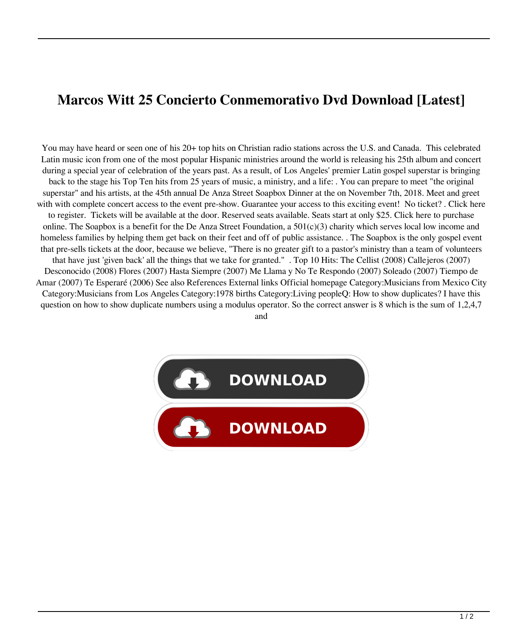## **Marcos Witt 25 Concierto Conmemorativo Dvd Download [Latest]**

You may have heard or seen one of his 20+ top hits on Christian radio stations across the U.S. and Canada. This celebrated Latin music icon from one of the most popular Hispanic ministries around the world is releasing his 25th album and concert during a special year of celebration of the years past. As a result, of Los Angeles' premier Latin gospel superstar is bringing back to the stage his Top Ten hits from 25 years of music, a ministry, and a life: . You can prepare to meet "the original superstar" and his artists, at the 45th annual De Anza Street Soapbox Dinner at the on November 7th, 2018. Meet and greet with with complete concert access to the event pre-show. Guarantee your access to this exciting event! No ticket? . Click here to register. Tickets will be available at the door. Reserved seats available. Seats start at only \$25. Click here to purchase online. The Soapbox is a benefit for the De Anza Street Foundation, a  $501(c)(3)$  charity which serves local low income and homeless families by helping them get back on their feet and off of public assistance. . The Soapbox is the only gospel event that pre-sells tickets at the door, because we believe, "There is no greater gift to a pastor's ministry than a team of volunteers that have just 'given back' all the things that we take for granted." . Top 10 Hits: The Cellist (2008) Callejeros (2007) Desconocido (2008) Flores (2007) Hasta Siempre (2007) Me Llama y No Te Respondo (2007) Soleado (2007) Tiempo de Amar (2007) Te Esperaré (2006) See also References External links Official homepage Category:Musicians from Mexico City Category:Musicians from Los Angeles Category:1978 births Category:Living peopleQ: How to show duplicates? I have this question on how to show duplicate numbers using a modulus operator. So the correct answer is 8 which is the sum of 1,2,4,7

and